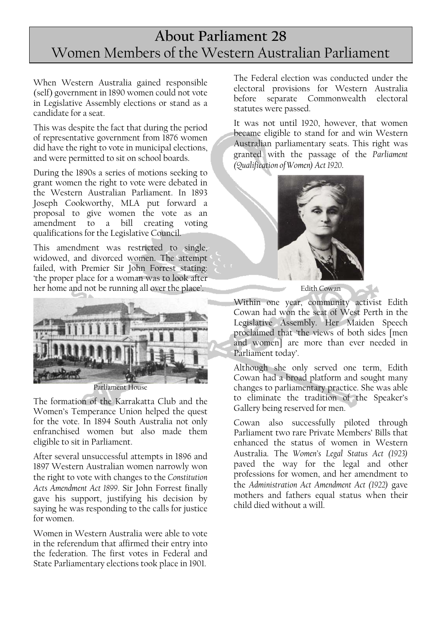## **About Parliament 28**  Women Members of the Western Australian Parliament

When Western Australia gained responsible (self) government in 1890 women could not vote in Legislative Assembly elections or stand as a candidate for a seat.

This was despite the fact that during the period of representative government from 1876 women did have the right to vote in municipal elections, and were permitted to sit on school boards.

During the 1890s a series of motions seeking to grant women the right to vote were debated in the Western Australian Parliament. In 1893 Joseph Cookworthy, MLA put forward a proposal to give women the vote as an amendment to a bill creating voting qualifications for the Legislative Council.

This amendment was restricted to single, widowed, and divorced women. The attempt failed, with Premier Sir John Forrest stating: 'the proper place for a woman was to look after her home and not be running all over the place'.



Parliament House

The formation of the Karrakatta Club and the Women's Temperance Union helped the quest for the vote. In 1894 South Australia not only enfranchised women but also made them eligible to sit in Parliament.

After several unsuccessful attempts in 1896 and 1897 Western Australian women narrowly won the right to vote with changes to the *Constitution Acts Amendment Act 1899*. Sir John Forrest finally gave his support, justifying his decision by saying he was responding to the calls for justice for women.

Women in Western Australia were able to vote in the referendum that affirmed their entry into the federation. The first votes in Federal and State Parliamentary elections took place in 1901.

The Federal election was conducted under the electoral provisions for Western Australia before separate Commonwealth electoral statutes were passed.

It was not until 1920, however, that women became eligible to stand for and win Western Australian parliamentary seats. This right was granted with the passage of the *Parliament (Qualification of Women) Act 1920*.



Edith Cowan

Within one year, community activist Edith Cowan had won the seat of West Perth in the Legislative Assembly. Her Maiden Speech proclaimed that 'the views of both sides [men and women] are more than ever needed in Parliament today'.

Although she only served one term, Edith Cowan had a broad platform and sought many changes to parliamentary practice. She was able to eliminate the tradition of the Speaker's Gallery being reserved for men.

Cowan also successfully piloted through Parliament two rare Private Members' Bills that enhanced the status of women in Western Australia. The *Women's Legal Status Act (1923)* paved the way for the legal and other professions for women, and her amendment to the *Administration Act Amendment Act (1922)* gave mothers and fathers equal status when their child died without a will.